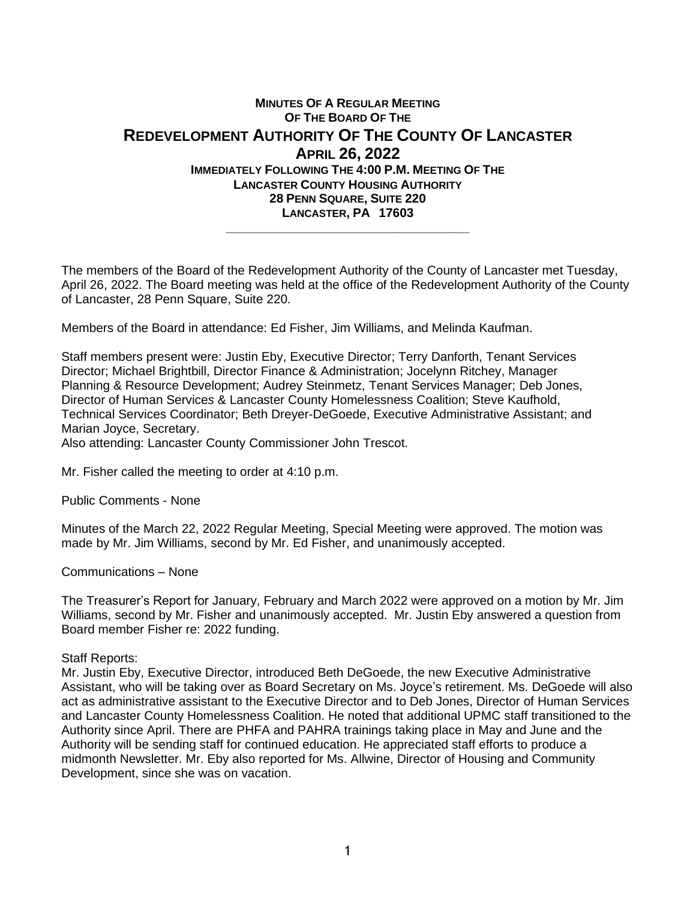## **MINUTES OF A REGULAR MEETING OF THE BOARD OF THE REDEVELOPMENT AUTHORITY OF THE COUNTY OF LANCASTER APRIL 26, 2022 IMMEDIATELY FOLLOWING THE 4:00 P.M. MEETING OF THE LANCASTER COUNTY HOUSING AUTHORITY 28 PENN SQUARE, SUITE 220 LANCASTER, PA 17603 \_\_\_\_\_\_\_\_\_\_\_\_\_\_\_\_\_\_\_\_\_\_\_\_\_\_\_\_\_\_\_\_\_\_\_**

The members of the Board of the Redevelopment Authority of the County of Lancaster met Tuesday, April 26, 2022. The Board meeting was held at the office of the Redevelopment Authority of the County of Lancaster, 28 Penn Square, Suite 220.

Members of the Board in attendance: Ed Fisher, Jim Williams, and Melinda Kaufman.

Staff members present were: Justin Eby, Executive Director; Terry Danforth, Tenant Services Director; Michael Brightbill, Director Finance & Administration; Jocelynn Ritchey, Manager Planning & Resource Development; Audrey Steinmetz, Tenant Services Manager; Deb Jones, Director of Human Service*s* & Lancaster County Homelessness Coalition; Steve Kaufhold, Technical Services Coordinator; Beth Dreyer-DeGoede, Executive Administrative Assistant; and Marian Joyce, Secretary.

Also attending: Lancaster County Commissioner John Trescot.

Mr. Fisher called the meeting to order at 4:10 p.m.

Public Comments - None

Minutes of the March 22, 2022 Regular Meeting, Special Meeting were approved. The motion was made by Mr. Jim Williams, second by Mr. Ed Fisher, and unanimously accepted.

Communications – None

The Treasurer's Report for January, February and March 2022 were approved on a motion by Mr. Jim Williams, second by Mr. Fisher and unanimously accepted. Mr. Justin Eby answered a question from Board member Fisher re: 2022 funding.

Staff Reports:

Mr. Justin Eby, Executive Director, introduced Beth DeGoede, the new Executive Administrative Assistant, who will be taking over as Board Secretary on Ms. Joyce's retirement. Ms. DeGoede will also act as administrative assistant to the Executive Director and to Deb Jones, Director of Human Services and Lancaster County Homelessness Coalition. He noted that additional UPMC staff transitioned to the Authority since April. There are PHFA and PAHRA trainings taking place in May and June and the Authority will be sending staff for continued education. He appreciated staff efforts to produce a midmonth Newsletter. Mr. Eby also reported for Ms. Allwine, Director of Housing and Community Development, since she was on vacation.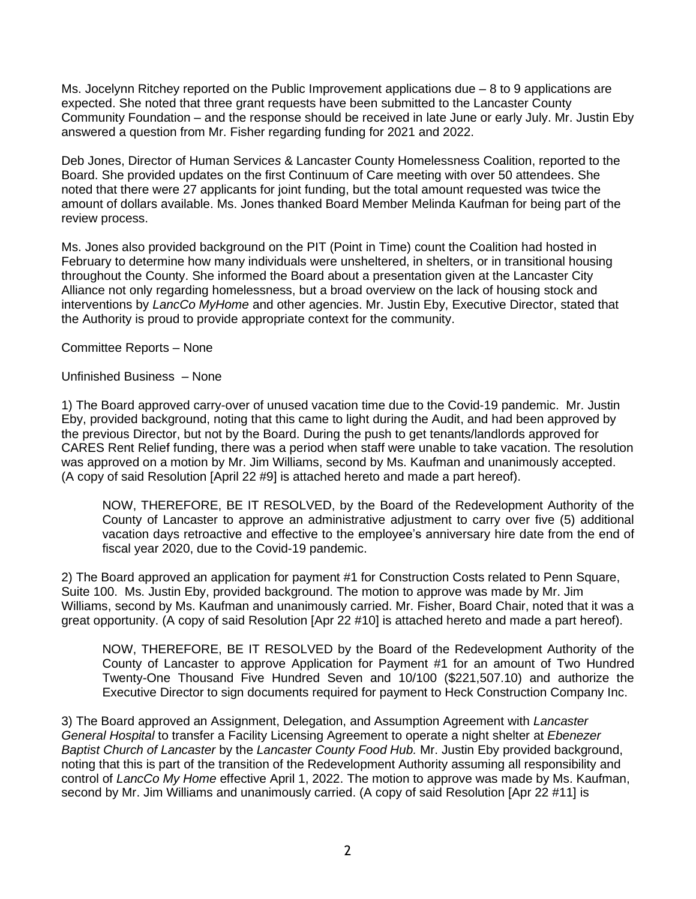Ms. Jocelynn Ritchey reported on the Public Improvement applications due – 8 to 9 applications are expected. She noted that three grant requests have been submitted to the Lancaster County Community Foundation – and the response should be received in late June or early July. Mr. Justin Eby answered a question from Mr. Fisher regarding funding for 2021 and 2022.

Deb Jones, Director of Human Service*s* & Lancaster County Homelessness Coalition, reported to the Board. She provided updates on the first Continuum of Care meeting with over 50 attendees. She noted that there were 27 applicants for joint funding, but the total amount requested was twice the amount of dollars available. Ms. Jones thanked Board Member Melinda Kaufman for being part of the review process.

Ms. Jones also provided background on the PIT (Point in Time) count the Coalition had hosted in February to determine how many individuals were unsheltered, in shelters, or in transitional housing throughout the County. She informed the Board about a presentation given at the Lancaster City Alliance not only regarding homelessness, but a broad overview on the lack of housing stock and interventions by *LancCo MyHome* and other agencies. Mr. Justin Eby, Executive Director, stated that the Authority is proud to provide appropriate context for the community.

Committee Reports – None

Unfinished Business – None

1) The Board approved carry-over of unused vacation time due to the Covid-19 pandemic. Mr. Justin Eby, provided background, noting that this came to light during the Audit, and had been approved by the previous Director, but not by the Board. During the push to get tenants/landlords approved for CARES Rent Relief funding, there was a period when staff were unable to take vacation. The resolution was approved on a motion by Mr. Jim Williams, second by Ms. Kaufman and unanimously accepted. (A copy of said Resolution [April 22 #9] is attached hereto and made a part hereof).

NOW, THEREFORE, BE IT RESOLVED, by the Board of the Redevelopment Authority of the County of Lancaster to approve an administrative adjustment to carry over five (5) additional vacation days retroactive and effective to the employee's anniversary hire date from the end of fiscal year 2020, due to the Covid-19 pandemic.

2) The Board approved an application for payment #1 for Construction Costs related to Penn Square, Suite 100. Ms. Justin Eby, provided background. The motion to approve was made by Mr. Jim Williams, second by Ms. Kaufman and unanimously carried. Mr. Fisher, Board Chair, noted that it was a great opportunity. (A copy of said Resolution [Apr 22 #10] is attached hereto and made a part hereof).

NOW, THEREFORE, BE IT RESOLVED by the Board of the Redevelopment Authority of the County of Lancaster to approve Application for Payment #1 for an amount of Two Hundred Twenty-One Thousand Five Hundred Seven and 10/100 (\$221,507.10) and authorize the Executive Director to sign documents required for payment to Heck Construction Company Inc.

3) The Board approved an Assignment, Delegation, and Assumption Agreement with *Lancaster General Hospital* to transfer a Facility Licensing Agreement to operate a night shelter at *Ebenezer Baptist Church of Lancaster* by the *Lancaster County Food Hub.* Mr. Justin Eby provided background, noting that this is part of the transition of the Redevelopment Authority assuming all responsibility and control of *LancCo My Home* effective April 1, 2022. The motion to approve was made by Ms. Kaufman, second by Mr. Jim Williams and unanimously carried. (A copy of said Resolution [Apr 22 #11] is